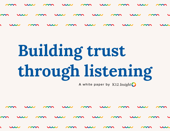# **Building trust through listening**

A white paper by  $K12$  Insight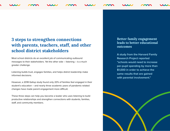## **3 steps to strengthen connections with parents, teachers, staff, and other school district stakeholders**

Most school districts do an excellent job of communicating outbound messages to their stakeholders. Yet the other side – listening – is a much greater challenge.

Listening builds trust, engages families, and helps district leadership make informed decisions.

However, a 2018 Gallup study found only 20% of families feel engaged in their student's education – and nearly three academic years of pandemic-related changes have made parent engagement more difficult.

These three steps can help you become a leader who uses listening to build productive relationships and strengthen connections with students, families, staff, and community members.

#### **Better family engagement leads to better educational outcomes**

**A study from the Harvard Family Research Project reported "schools would need to increase per-pupil spending by more than \$1,000 in order to achieve the same results that are gained with parental involvement."**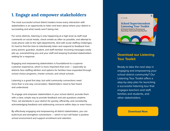## **1. Engage and empower stakeholders**

The most successful school district leaders know every interaction with stakeholders is an opportunity to listen and learn about where your district is succeeding and what needs aren't being met.

For some districts, listening is only happening at a high level as staff read comments on social media, check emails as often as possible, and attempt to route phone calls to the right departments. And with acute staffing challenges, it's hard to find the time to intentionally listen and respond to feedback from every parent, guardian, student, and staff member. Incoming messages easily pile up, overwhelming you and your staff and keeping frustrated stakeholders waiting for a response.

Engaging and empowering stakeholders is foundational to a superior customer experience, which is more important than ever — especially as districts face staffing attrition and options for families have expanded through school choice programs, charter schools, and virtual schools.

Listening is a great first step, but solid community connections need more than a one-way conversation. Stakeholders need to feel heard and understood.

To engage and empower stakeholders in your school district, provide them with a clear, simple way to provide feedback and ask questions anytime. Then, set standards in your district for quickly, efficiently, and consistently acknowledging feedback and addressing concerns within days or even hours.

By effectively engaging and empowering all district stakeholders, you can build trust and strengthen connections — which in turn will foster a positive school environment and support enrollment and retention.



### **Download our Listening Tour Toolkit**

Ready to take the next step in engaging and empowering your school district community? Our Listening Tour Toolkit offers a step-by-step plan for launching a successful listening tour that engages teachers and staff, families and students, and other stakeholders.

#### **[Download Now](https://go.k12insight.com/listening-tour-toolkit)**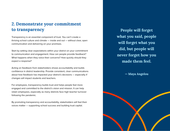## **2. Demonstrate your commitment to transparency**

Transparency is an essential component of trust. You can't create a thriving school culture and climate — inside and out — without clear, open communication and delivering on your promises.

Start by setting clear expectations within your district on your commitment to communication and engagement. How can people provide feedback? What happens when they voice their concerns? How quickly should they expect a response?

Acting on feedback from stakeholders shows accountability and builds confidence in district leadership. Provide consistent, clear communications about how feedback has impacted your district's decisions — especially if changes will impact students and teachers.

For employees, transparency builds trust and helps people feel more engaged and committed to the district's vision and mission. It can help retain employees, especially as many districts face high teacher turnover following the pandemic.

By promoting transparency and accountability, stakeholders will feel their voices matter — supporting school success and building trust capital.

**People will forget what you said, people will forget what you did, but people will never forget how you made them feel.** 

**— Maya Angelou**

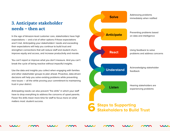## **3. Anticipate stakeholder needs – then act**

In the age of Amazon-level customer care, stakeholders have high expectations — and a lot of other options if those expectations aren't met. Anticipating your stakeholders' needs and exceeding their expectations will help you continue to build trust and strengthen connections that will reduce staff and student churn, improve equity and access, and increase productivity and morale.

You can't report or improve what you don't measure. And you can't break the cycle of being reactive without impactful insights.

Use the data and insights you collect when engaging with families and other stakeholder groups to plan ahead. Proactive, data-driven decisions will help you solve existing problems while preventing new issues — all the while proving your commitment to maintaining trust in your district.

Anticipating needs can also prevent "fire drills" in which your staff have to drop everything to address the concerns of upset parents. Fewer fire drills mean more time for staff to focus more on what matters most: student success.